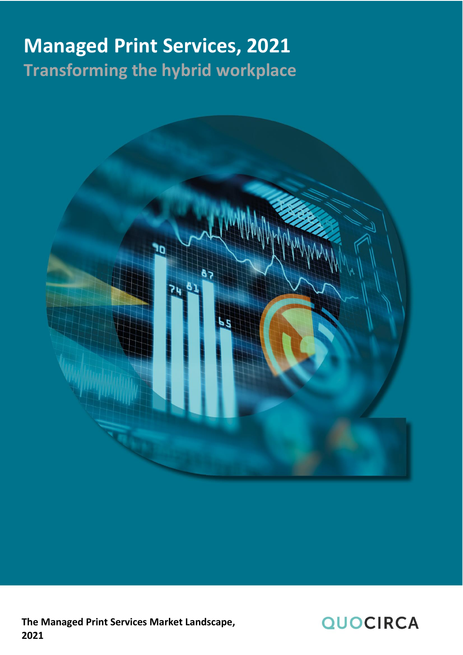# **Managed Print Services, 2021 Transforming the hybrid workplace**



**The Managed Print Services Market Landscape, 2021**

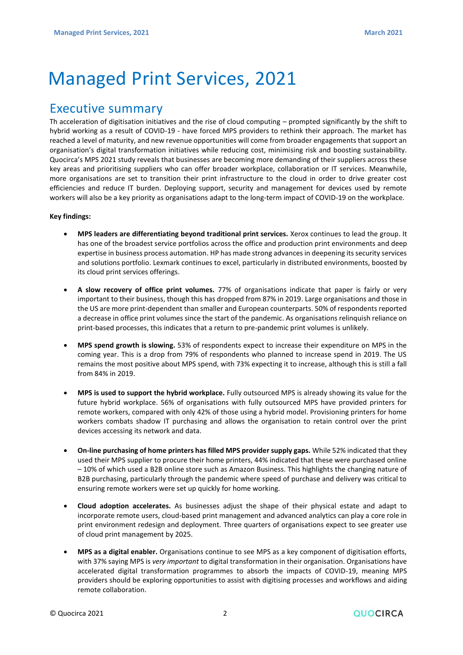# Managed Print Services, 2021

## <span id="page-1-0"></span>Executive summary

Th acceleration of digitisation initiatives and the rise of cloud computing – prompted significantly by the shift to hybrid working as a result of COVID-19 - have forced MPS providers to rethink their approach. The market has reached a level of maturity, and new revenue opportunities will come from broader engagements that support an organisation's digital transformation initiatives while reducing cost, minimising risk and boosting sustainability. Quocirca's MPS 2021 study reveals that businesses are becoming more demanding of their suppliers across these key areas and prioritising suppliers who can offer broader workplace, collaboration or IT services. Meanwhile, more organisations are set to transition their print infrastructure to the cloud in order to drive greater cost efficiencies and reduce IT burden. Deploying support, security and management for devices used by remote workers will also be a key priority as organisations adapt to the long-term impact of COVID-19 on the workplace.

## **Key findings:**

- **MPS leaders are differentiating beyond traditional print services.** Xerox continues to lead the group. It has one of the broadest service portfolios across the office and production print environments and deep expertise in business process automation. HP has made strong advances in deepening its security services and solutions portfolio. Lexmark continues to excel, particularly in distributed environments, boosted by its cloud print services offerings.
- **A slow recovery of office print volumes.** 77% of organisations indicate that paper is fairly or very important to their business, though this has dropped from 87% in 2019. Large organisations and those in the US are more print-dependent than smaller and European counterparts. 50% of respondents reported a decrease in office print volumes since the start of the pandemic. As organisations relinquish reliance on print-based processes, this indicates that a return to pre-pandemic print volumes is unlikely.
- **MPS spend growth is slowing.** 53% of respondents expect to increase their expenditure on MPS in the coming year. This is a drop from 79% of respondents who planned to increase spend in 2019. The US remains the most positive about MPS spend, with 73% expecting it to increase, although this is still a fall from 84% in 2019.
- **MPS is used to support the hybrid workplace.** Fully outsourced MPS is already showing its value for the future hybrid workplace. 56% of organisations with fully outsourced MPS have provided printers for remote workers, compared with only 42% of those using a hybrid model. Provisioning printers for home workers combats shadow IT purchasing and allows the organisation to retain control over the print devices accessing its network and data.
- **On-line purchasing of home printers has filled MPS provider supply gaps.** While 52% indicated that they used their MPS supplier to procure their home printers, 44% indicated that these were purchased online – 10% of which used a B2B online store such as Amazon Business. This highlights the changing nature of B2B purchasing, particularly through the pandemic where speed of purchase and delivery was critical to ensuring remote workers were set up quickly for home working.
- **Cloud adoption accelerates.** As businesses adjust the shape of their physical estate and adapt to incorporate remote users, cloud-based print management and advanced analytics can play a core role in print environment redesign and deployment. Three quarters of organisations expect to see greater use of cloud print management by 2025.
- **MPS as a digital enabler.** Organisations continue to see MPS as a key component of digitisation efforts, with 37% saying MPS is *very important* to digital transformation in their organisation. Organisations have accelerated digital transformation programmes to absorb the impacts of COVID-19, meaning MPS providers should be exploring opportunities to assist with digitising processes and workflows and aiding remote collaboration.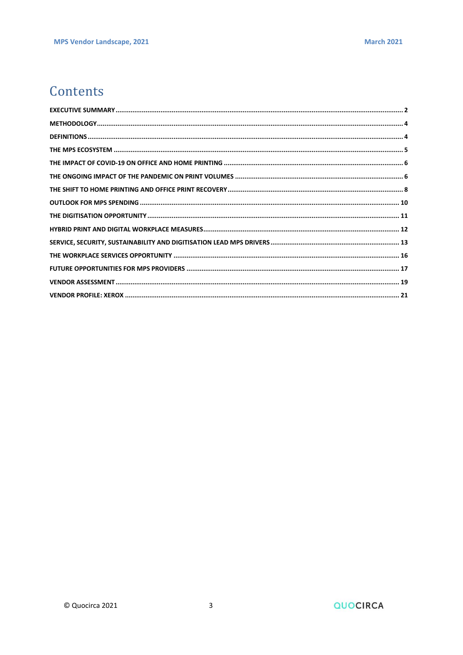## Contents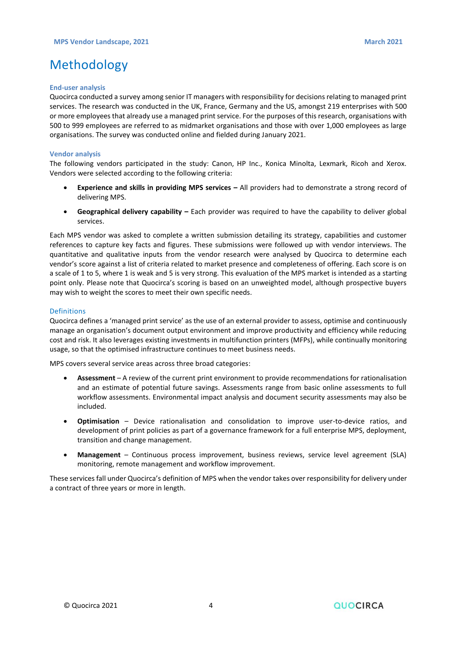## <span id="page-3-0"></span>Methodology

## **End-user analysis**

Quocirca conducted a survey among senior IT managers with responsibility for decisions relating to managed print services. The research was conducted in the UK, France, Germany and the US, amongst 219 enterprises with 500 or more employees that already use a managed print service. For the purposes of this research, organisations with 500 to 999 employees are referred to as midmarket organisations and those with over 1,000 employees as large organisations. The survey was conducted online and fielded during January 2021.

## **Vendor analysis**

The following vendors participated in the study: Canon, HP Inc., Konica Minolta, Lexmark, Ricoh and Xerox. Vendors were selected according to the following criteria:

- **Experience and skills in providing MPS services –** All providers had to demonstrate a strong record of delivering MPS.
- **Geographical delivery capability –** Each provider was required to have the capability to deliver global services.

Each MPS vendor was asked to complete a written submission detailing its strategy, capabilities and customer references to capture key facts and figures. These submissions were followed up with vendor interviews. The quantitative and qualitative inputs from the vendor research were analysed by Quocirca to determine each vendor's score against a list of criteria related to market presence and completeness of offering. Each score is on a scale of 1 to 5, where 1 is weak and 5 is very strong. This evaluation of the MPS market is intended as a starting point only. Please note that Quocirca's scoring is based on an unweighted model, although prospective buyers may wish to weight the scores to meet their own specific needs.

## <span id="page-3-1"></span>Definitions

Quocirca defines a 'managed print service' as the use of an external provider to assess, optimise and continuously manage an organisation's document output environment and improve productivity and efficiency while reducing cost and risk. It also leverages existing investments in multifunction printers (MFPs), while continually monitoring usage, so that the optimised infrastructure continues to meet business needs.

MPS covers several service areas across three broad categories:

- **Assessment** A review of the current print environment to provide recommendations for rationalisation and an estimate of potential future savings. Assessments range from basic online assessments to full workflow assessments. Environmental impact analysis and document security assessments may also be included.
- **Optimisation** Device rationalisation and consolidation to improve user-to-device ratios, and development of print policies as part of a governance framework for a full enterprise MPS, deployment, transition and change management.
- **Management**  Continuous process improvement, business reviews, service level agreement (SLA) monitoring, remote management and workflow improvement.

These services fall under Quocirca's definition of MPS when the vendor takes over responsibility for delivery under a contract of three years or more in length.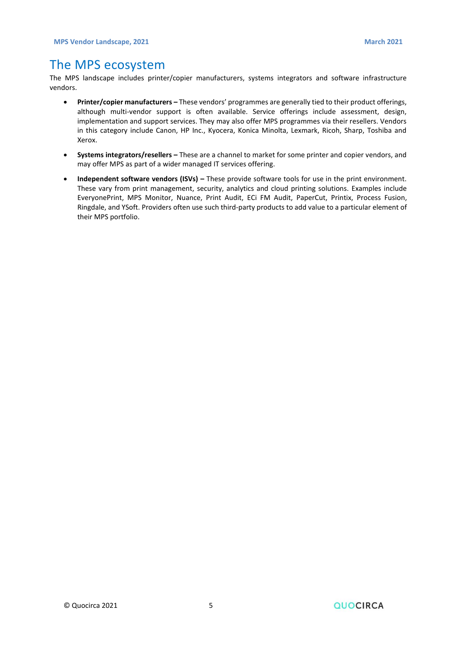## <span id="page-4-0"></span>The MPS ecosystem

The MPS landscape includes printer/copier manufacturers, systems integrators and software infrastructure vendors.

- **Printer/copier manufacturers –** These vendors' programmes are generally tied to their product offerings, although multi-vendor support is often available. Service offerings include assessment, design, implementation and support services. They may also offer MPS programmes via their resellers. Vendors in this category include Canon, HP Inc., Kyocera, Konica Minolta, Lexmark, Ricoh, Sharp, Toshiba and Xerox.
- **Systems integrators/resellers –** These are a channel to market for some printer and copier vendors, and may offer MPS as part of a wider managed IT services offering.
- **Independent software vendors (ISVs) –** These provide software tools for use in the print environment. These vary from print management, security, analytics and cloud printing solutions. Examples include EveryonePrint, MPS Monitor, Nuance, Print Audit, ECi FM Audit, PaperCut, Printix, Process Fusion, Ringdale, and YSoft. Providers often use such third-party products to add value to a particular element of their MPS portfolio.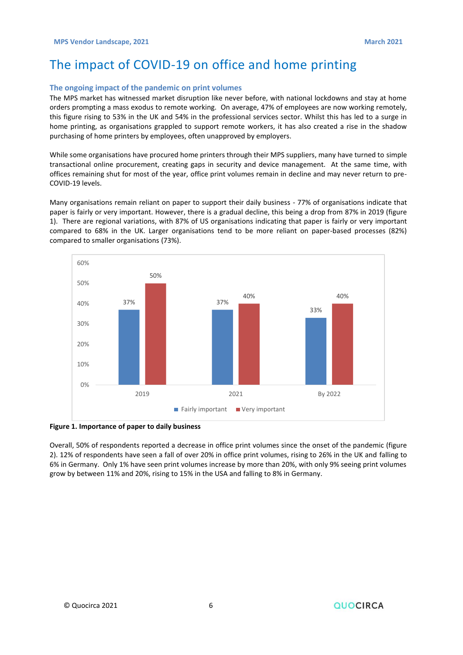## <span id="page-5-0"></span>The impact of COVID-19 on office and home printing

## <span id="page-5-1"></span>**The ongoing impact of the pandemic on print volumes**

The MPS market has witnessed market disruption like never before, with national lockdowns and stay at home orders prompting a mass exodus to remote working. On average, 47% of employees are now working remotely, this figure rising to 53% in the UK and 54% in the professional services sector. Whilst this has led to a surge in home printing, as organisations grappled to support remote workers, it has also created a rise in the shadow purchasing of home printers by employees, often unapproved by employers.

While some organisations have procured home printers through their MPS suppliers, many have turned to simple transactional online procurement, creating gaps in security and device management. At the same time, with offices remaining shut for most of the year, office print volumes remain in decline and may never return to pre-COVID-19 levels.

Many organisations remain reliant on paper to support their daily business - 77% of organisations indicate that paper is fairly or very important. However, there is a gradual decline, this being a drop from 87% in 2019 (figure 1). There are regional variations, with 87% of US organisations indicating that paper is fairly or very important compared to 68% in the UK. Larger organisations tend to be more reliant on paper-based processes (82%) compared to smaller organisations (73%).



**Figure 1. Importance of paper to daily business**

Overall, 50% of respondents reported a decrease in office print volumes since the onset of the pandemic (figure 2). 12% of respondents have seen a fall of over 20% in office print volumes, rising to 26% in the UK and falling to 6% in Germany. Only 1% have seen print volumes increase by more than 20%, with only 9% seeing print volumes grow by between 11% and 20%, rising to 15% in the USA and falling to 8% in Germany.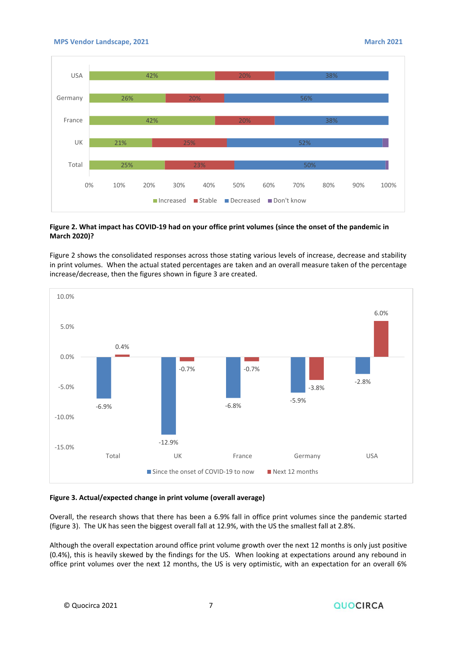

## **Figure 2. What impact has COVID-19 had on your office print volumes (since the onset of the pandemic in March 2020)?**

Figure 2 shows the consolidated responses across those stating various levels of increase, decrease and stability in print volumes. When the actual stated percentages are taken and an overall measure taken of the percentage increase/decrease, then the figures shown in figure 3 are created.



## **Figure 3. Actual/expected change in print volume (overall average)**

Overall, the research shows that there has been a 6.9% fall in office print volumes since the pandemic started (figure 3). The UK has seen the biggest overall fall at 12.9%, with the US the smallest fall at 2.8%.

Although the overall expectation around office print volume growth over the next 12 months is only just positive (0.4%), this is heavily skewed by the findings for the US. When looking at expectations around any rebound in office print volumes over the next 12 months, the US is very optimistic, with an expectation for an overall 6%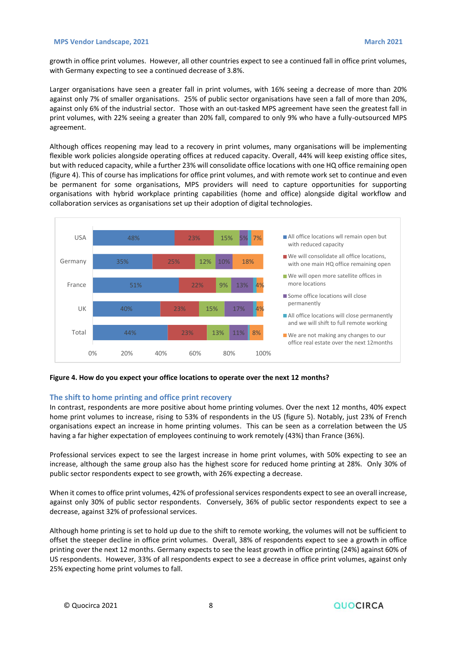growth in office print volumes. However, all other countries expect to see a continued fall in office print volumes, with Germany expecting to see a continued decrease of 3.8%.

Larger organisations have seen a greater fall in print volumes, with 16% seeing a decrease of more than 20% against only 7% of smaller organisations. 25% of public sector organisations have seen a fall of more than 20%, against only 6% of the industrial sector. Those with an out-tasked MPS agreement have seen the greatest fall in print volumes, with 22% seeing a greater than 20% fall, compared to only 9% who have a fully-outsourced MPS agreement.

Although offices reopening may lead to a recovery in print volumes, many organisations will be implementing flexible work policies alongside operating offices at reduced capacity. Overall, 44% will keep existing office sites, but with reduced capacity, while a further 23% will consolidate office locations with one HQ office remaining open (figure 4). This of course has implications for office print volumes, and with remote work set to continue and even be permanent for some organisations, MPS providers will need to capture opportunities for supporting organisations with hybrid workplace printing capabilities (home and office) alongside digital workflow and collaboration services as organisations set up their adoption of digital technologies.



### **Figure 4. How do you expect your office locations to operate over the next 12 months?**

## <span id="page-7-0"></span>**The shift to home printing and office print recovery**

In contrast, respondents are more positive about home printing volumes. Over the next 12 months, 40% expect home print volumes to increase, rising to 53% of respondents in the US (figure 5). Notably, just 23% of French organisations expect an increase in home printing volumes. This can be seen as a correlation between the US having a far higher expectation of employees continuing to work remotely (43%) than France (36%).

Professional services expect to see the largest increase in home print volumes, with 50% expecting to see an increase, although the same group also has the highest score for reduced home printing at 28%. Only 30% of public sector respondents expect to see growth, with 26% expecting a decrease.

When it comes to office print volumes, 42% of professional services respondents expect to see an overall increase, against only 30% of public sector respondents. Conversely, 36% of public sector respondents expect to see a decrease, against 32% of professional services.

Although home printing is set to hold up due to the shift to remote working, the volumes will not be sufficient to offset the steeper decline in office print volumes. Overall, 38% of respondents expect to see a growth in office printing over the next 12 months. Germany expects to see the least growth in office printing (24%) against 60% of US respondents. However, 33% of all respondents expect to see a decrease in office print volumes, against only 25% expecting home print volumes to fall.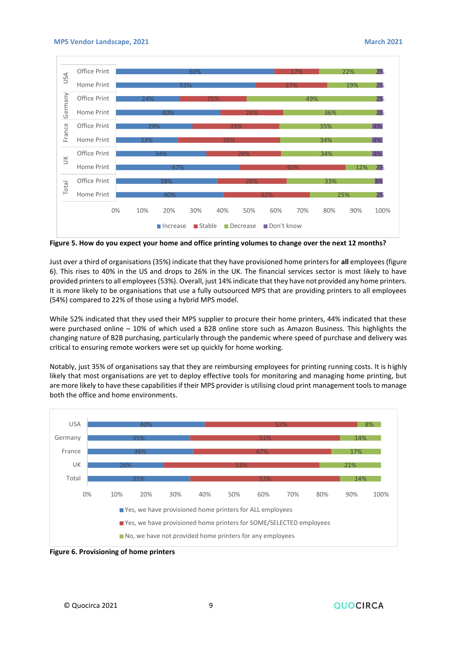

**Figure 5. How do you expect your home and office printing volumes to change over the next 12 months?**

Just over a third of organisations (35%) indicate that they have provisioned home printers for **all** employees (figure 6). This rises to 40% in the US and drops to 26% in the UK. The financial services sector is most likely to have provided printers to all employees (53%). Overall, just 14% indicate that they have not provided any home printers. It is more likely to be organisations that use a fully outsourced MPS that are providing printers to all employees (54%) compared to 22% of those using a hybrid MPS model.

While 52% indicated that they used their MPS supplier to procure their home printers, 44% indicated that these were purchased online – 10% of which used a B2B online store such as Amazon Business. This highlights the changing nature of B2B purchasing, particularly through the pandemic where speed of purchase and delivery was critical to ensuring remote workers were set up quickly for home working.

Notably, just 35% of organisations say that they are reimbursing employees for printing running costs. It is highly likely that most organisations are yet to deploy effective tools for monitoring and managing home printing, but are more likely to have these capabilities if their MPS provider is utilising cloud print management tools to manage both the office and home environments.



**Figure 6. Provisioning of home printers**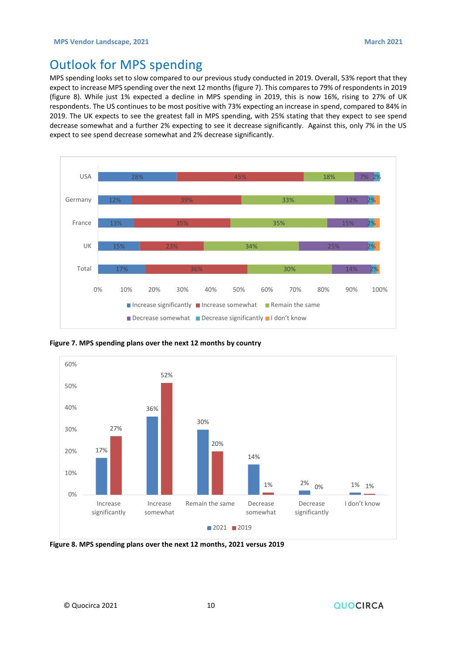## <span id="page-9-0"></span>Outlook for MPS spending

MPS spending looks set to slow compared to our previous study conducted in 2019. Overall, 53% report that they expect to increase MPS spending over the next 12 months (figure 7). This compares to 79% of respondents in 2019 (figure 8). While just 1% expected a decline in MPS spending in 2019, this is now 16%, rising to 27% of UK respondents. The US continues to be most positive with 73% expecting an increase in spend, compared to 84% in 2019. The UK expects to see the greatest fall in MPS spending, with 25% stating that they expect to see spend decrease somewhat and a further 2% expecting to see it decrease significantly. Against this, only 7% in the US expect to see spend decrease somewhat and 2% decrease significantly.



**Figure 7. MPS spending plans over the next 12 months by country**



**Figure 8. MPS spending plans over the next 12 months, 2021 versus 2019**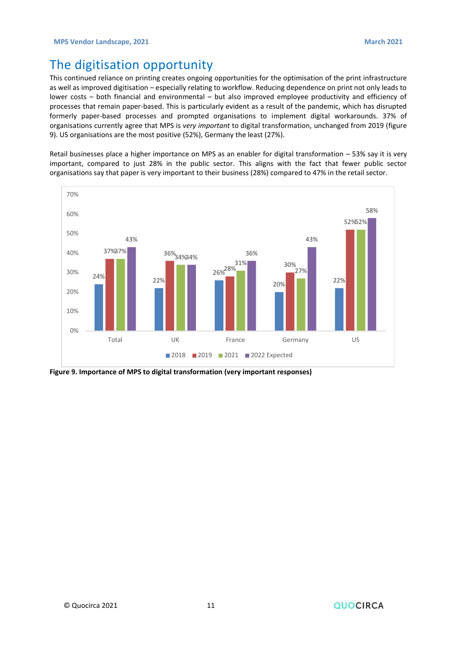## <span id="page-10-0"></span>The digitisation opportunity

This continued reliance on printing creates ongoing opportunities for the optimisation of the print infrastructure as well as improved digitisation – especially relating to workflow. Reducing dependence on print not only leads to lower costs – both financial and environmental – but also improved employee productivity and efficiency of processes that remain paper-based. This is particularly evident as a result of the pandemic, which has disrupted formerly paper-based processes and prompted organisations to implement digital workarounds. 37% of organisations currently agree that MPS is *very important* to digital transformation, unchanged from 2019 (figure 9). US organisations are the most positive (52%), Germany the least (27%).

Retail businesses place a higher importance on MPS as an enabler for digital transformation – 53% say it is very important, compared to just 28% in the public sector. This aligns with the fact that fewer public sector organisations say that paper is very important to their business (28%) compared to 47% in the retail sector.



**Figure 9. Importance of MPS to digital transformation (very important responses)**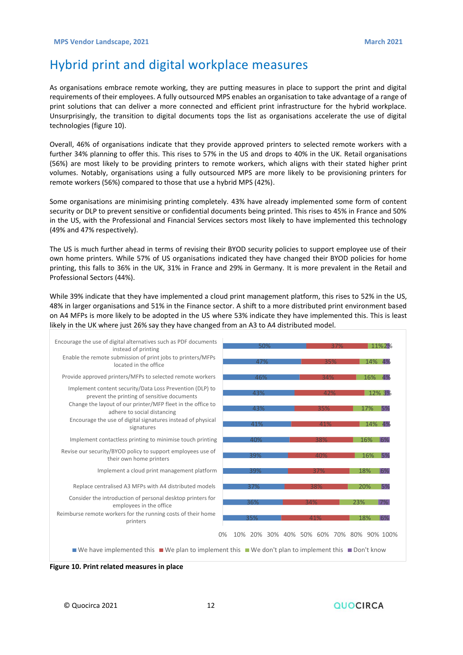## <span id="page-11-0"></span>Hybrid print and digital workplace measures

As organisations embrace remote working, they are putting measures in place to support the print and digital requirements of their employees. A fully outsourced MPS enables an organisation to take advantage of a range of print solutions that can deliver a more connected and efficient print infrastructure for the hybrid workplace. Unsurprisingly, the transition to digital documents tops the list as organisations accelerate the use of digital technologies (figure 10).

Overall, 46% of organisations indicate that they provide approved printers to selected remote workers with a further 34% planning to offer this. This rises to 57% in the US and drops to 40% in the UK. Retail organisations (56%) are most likely to be providing printers to remote workers, which aligns with their stated higher print volumes. Notably, organisations using a fully outsourced MPS are more likely to be provisioning printers for remote workers (56%) compared to those that use a hybrid MPS (42%).

Some organisations are minimising printing completely. 43% have already implemented some form of content security or DLP to prevent sensitive or confidential documents being printed. This rises to 45% in France and 50% in the US, with the Professional and Financial Services sectors most likely to have implemented this technology (49% and 47% respectively).

The US is much further ahead in terms of revising their BYOD security policies to support employee use of their own home printers. While 57% of US organisations indicated they have changed their BYOD policies for home printing, this falls to 36% in the UK, 31% in France and 29% in Germany. It is more prevalent in the Retail and Professional Sectors (44%).

While 39% indicate that they have implemented a cloud print management platform, this rises to 52% in the US, 48% in larger organisations and 51% in the Finance sector. A shift to a more distributed print environment based on A4 MFPs is more likely to be adopted in the US where 53% indicate they have implemented this. This is least likely in the UK where just 26% say they have changed from an A3 to A4 distributed model.



**Figure 10. Print related measures in place**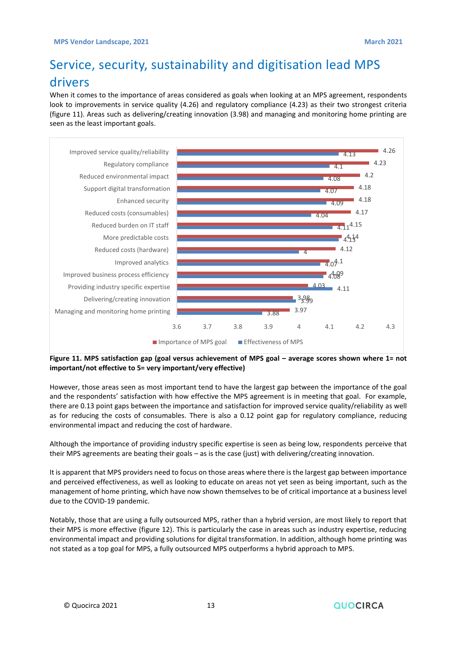## <span id="page-12-0"></span>Service, security, sustainability and digitisation lead MPS drivers

When it comes to the importance of areas considered as goals when looking at an MPS agreement, respondents look to improvements in service quality (4.26) and regulatory compliance (4.23) as their two strongest criteria (figure 11). Areas such as delivering/creating innovation (3.98) and managing and monitoring home printing are seen as the least important goals.



**Figure 11. MPS satisfaction gap (goal versus achievement of MPS goal – average scores shown where 1= not important/not effective to 5= very important/very effective)**

However, those areas seen as most important tend to have the largest gap between the importance of the goal and the respondents' satisfaction with how effective the MPS agreement is in meeting that goal. For example, there are 0.13 point gaps between the importance and satisfaction for improved service quality/reliability as well as for reducing the costs of consumables. There is also a 0.12 point gap for regulatory compliance, reducing environmental impact and reducing the cost of hardware.

Although the importance of providing industry specific expertise is seen as being low, respondents perceive that their MPS agreements are beating their goals – as is the case (just) with delivering/creating innovation.

It is apparent that MPS providers need to focus on those areas where there is the largest gap between importance and perceived effectiveness, as well as looking to educate on areas not yet seen as being important, such as the management of home printing, which have now shown themselves to be of critical importance at a business level due to the COVID-19 pandemic.

Notably, those that are using a fully outsourced MPS, rather than a hybrid version, are most likely to report that their MPS is more effective (figure 12). This is particularly the case in areas such as industry expertise, reducing environmental impact and providing solutions for digital transformation. In addition, although home printing was not stated as a top goal for MPS, a fully outsourced MPS outperforms a hybrid approach to MPS.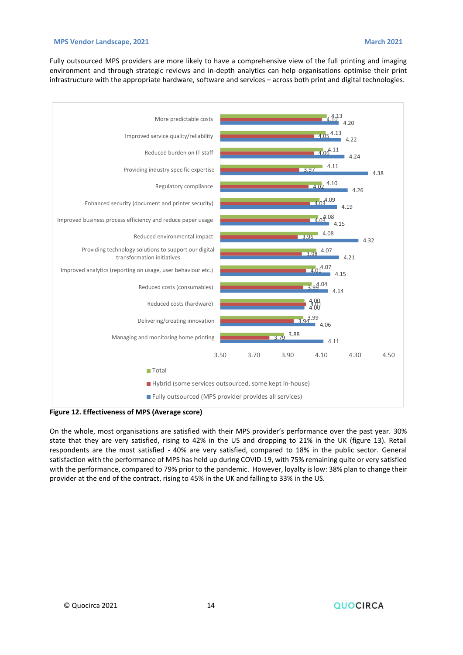Fully outsourced MPS providers are more likely to have a comprehensive view of the full printing and imaging environment and through strategic reviews and in-depth analytics can help organisations optimise their print infrastructure with the appropriate hardware, software and services – across both print and digital technologies.



**Figure 12. Effectiveness of MPS (Average score)**

On the whole, most organisations are satisfied with their MPS provider's performance over the past year. 30% state that they are very satisfied, rising to 42% in the US and dropping to 21% in the UK (figure 13). Retail respondents are the most satisfied - 40% are very satisfied, compared to 18% in the public sector. General satisfaction with the performance of MPS has held up during COVID-19, with 75% remaining quite or very satisfied with the performance, compared to 79% prior to the pandemic. However, loyalty is low: 38% plan to change their provider at the end of the contract, rising to 45% in the UK and falling to 33% in the US.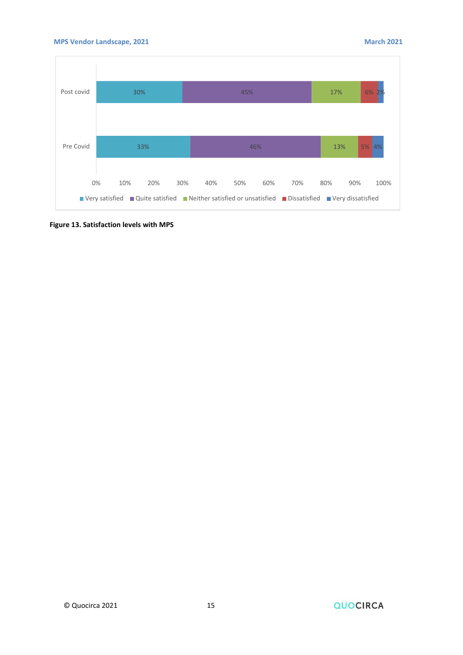

**Figure 13. Satisfaction levels with MPS**



0% 10% 20% 30% 40% 50% 60% 70% 80% 90% 100%

■ Very satisfied ■ Quite satisfied ■ Neither satisfied or unsatisfied ■ Dissatisfied ■ Very dissatisfied

5%

 $4%$ 

6%

2%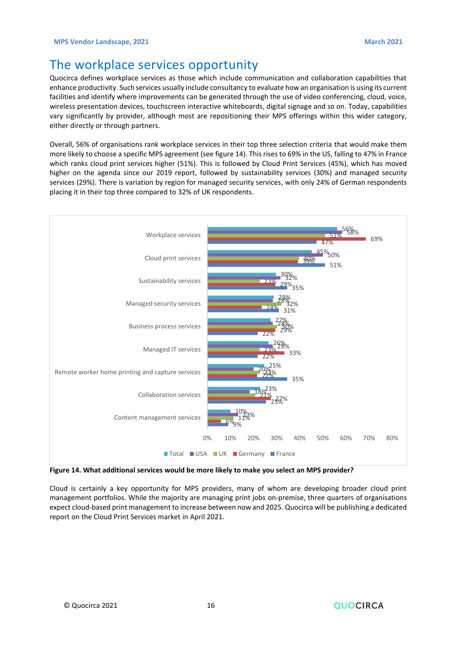## <span id="page-15-0"></span>The workplace services opportunity

Quocirca defines workplace services as those which include communication and collaboration capabilities that enhance productivity. Such services usually include consultancy to evaluate how an organisation is using its current facilities and identify where improvements can be generated through the use of video conferencing, cloud, voice, wireless presentation devices, touchscreen interactive whiteboards, digital signage and so on. Today, capabilities vary significantly by provider, although most are repositioning their MPS offerings within this wider category, either directly or through partners.

Overall, 56% of organisations rank workplace services in their top three selection criteria that would make them more likely to choose a specific MPS agreement (see figure 14). This rises to 69% in the US, falling to 47% in France which ranks cloud print services higher (51%). This is followed by Cloud Print Services (45%), which has moved higher on the agenda since our 2019 report, followed by sustainability services (30%) and managed security services (29%). There is variation by region for managed security services, with only 24% of German respondents placing it in their top three compared to 32% of UK respondents.



**Figure 14. What additional services would be more likely to make you select an MPS provider?**

Cloud is certainly a key opportunity for MPS providers, many of whom are developing broader cloud print management portfolios. While the majority are managing print jobs on-premise, three quarters of organisations expect cloud-based print management to increase between now and 2025. Quocirca will be publishing a dedicated report on the Cloud Print Services market in April 2021.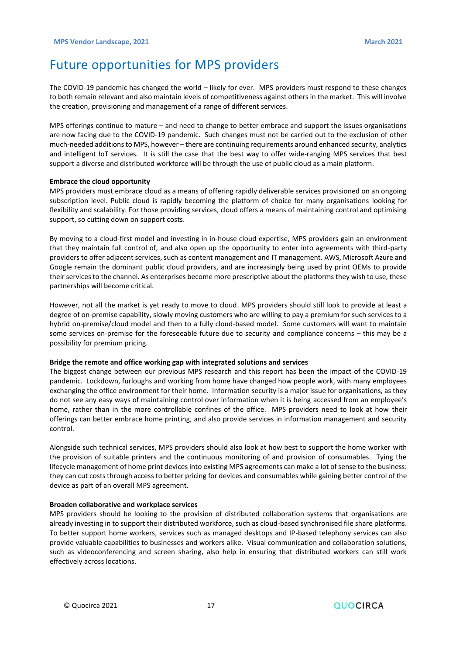## <span id="page-16-0"></span>Future opportunities for MPS providers

The COVID-19 pandemic has changed the world – likely for ever. MPS providers must respond to these changes to both remain relevant and also maintain levels of competitiveness against others in the market. This will involve the creation, provisioning and management of a range of different services.

MPS offerings continue to mature – and need to change to better embrace and support the issues organisations are now facing due to the COVID-19 pandemic. Such changes must not be carried out to the exclusion of other much-needed additions to MPS, however – there are continuing requirements around enhanced security, analytics and intelligent IoT services. It is still the case that the best way to offer wide-ranging MPS services that best support a diverse and distributed workforce will be through the use of public cloud as a main platform.

### **Embrace the cloud opportunity**

MPS providers must embrace cloud as a means of offering rapidly deliverable services provisioned on an ongoing subscription level. Public cloud is rapidly becoming the platform of choice for many organisations looking for flexibility and scalability. For those providing services, cloud offers a means of maintaining control and optimising support, so cutting down on support costs.

By moving to a cloud-first model and investing in in-house cloud expertise, MPS providers gain an environment that they maintain full control of, and also open up the opportunity to enter into agreements with third-party providers to offer adjacent services, such as content management and IT management. AWS, Microsoft Azure and Google remain the dominant public cloud providers, and are increasingly being used by print OEMs to provide their services to the channel. As enterprises become more prescriptive about the platforms they wish to use, these partnerships will become critical.

However, not all the market is yet ready to move to cloud. MPS providers should still look to provide at least a degree of on-premise capability, slowly moving customers who are willing to pay a premium for such services to a hybrid on-premise/cloud model and then to a fully cloud-based model. Some customers will want to maintain some services on-premise for the foreseeable future due to security and compliance concerns – this may be a possibility for premium pricing.

### **Bridge the remote and office working gap with integrated solutions and services**

The biggest change between our previous MPS research and this report has been the impact of the COVID-19 pandemic. Lockdown, furloughs and working from home have changed how people work, with many employees exchanging the office environment for their home. Information security is a major issue for organisations, as they do not see any easy ways of maintaining control over information when it is being accessed from an employee's home, rather than in the more controllable confines of the office. MPS providers need to look at how their offerings can better embrace home printing, and also provide services in information management and security control.

Alongside such technical services, MPS providers should also look at how best to support the home worker with the provision of suitable printers and the continuous monitoring of and provision of consumables. Tying the lifecycle management of home print devices into existing MPS agreements can make a lot of sense to the business: they can cut costs through access to better pricing for devices and consumables while gaining better control of the device as part of an overall MPS agreement.

### **Broaden collaborative and workplace services**

MPS providers should be looking to the provision of distributed collaboration systems that organisations are already investing in to support their distributed workforce, such as cloud-based synchronised file share platforms. To better support home workers, services such as managed desktops and IP-based telephony services can also provide valuable capabilities to businesses and workers alike. Visual communication and collaboration solutions, such as videoconferencing and screen sharing, also help in ensuring that distributed workers can still work effectively across locations.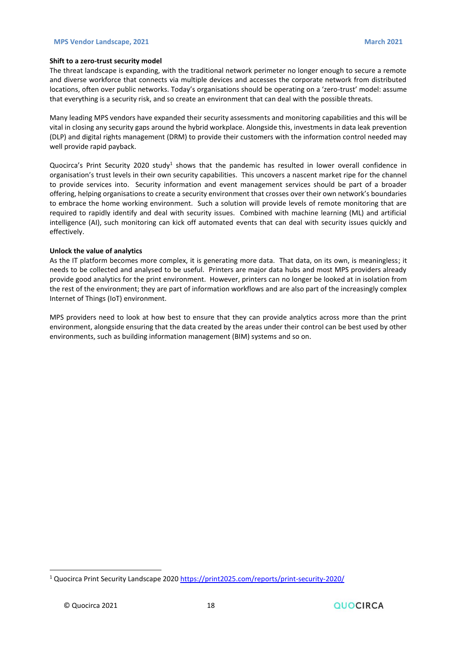## **Shift to a zero-trust security model**

The threat landscape is expanding, with the traditional network perimeter no longer enough to secure a remote and diverse workforce that connects via multiple devices and accesses the corporate network from distributed locations, often over public networks. Today's organisations should be operating on a 'zero-trust' model: assume that everything is a security risk, and so create an environment that can deal with the possible threats.

Many leading MPS vendors have expanded their security assessments and monitoring capabilities and this will be vital in closing any security gaps around the hybrid workplace. Alongside this, investments in data leak prevention (DLP) and digital rights management (DRM) to provide their customers with the information control needed may well provide rapid payback.

Quocirca's Print Security 2020 study<sup>1</sup> shows that the pandemic has resulted in lower overall confidence in organisation's trust levels in their own security capabilities. This uncovers a nascent market ripe for the channel to provide services into. Security information and event management services should be part of a broader offering, helping organisations to create a security environment that crosses over their own network's boundaries to embrace the home working environment. Such a solution will provide levels of remote monitoring that are required to rapidly identify and deal with security issues. Combined with machine learning (ML) and artificial intelligence (AI), such monitoring can kick off automated events that can deal with security issues quickly and effectively.

## **Unlock the value of analytics**

As the IT platform becomes more complex, it is generating more data. That data, on its own, is meaningless; it needs to be collected and analysed to be useful. Printers are major data hubs and most MPS providers already provide good analytics for the print environment. However, printers can no longer be looked at in isolation from the rest of the environment; they are part of information workflows and are also part of the increasingly complex Internet of Things (IoT) environment.

MPS providers need to look at how best to ensure that they can provide analytics across more than the print environment, alongside ensuring that the data created by the areas under their control can be best used by other environments, such as building information management (BIM) systems and so on.

<sup>&</sup>lt;sup>1</sup> Quocirca Print Security Landscape 2020<https://print2025.com/reports/print-security-2020/>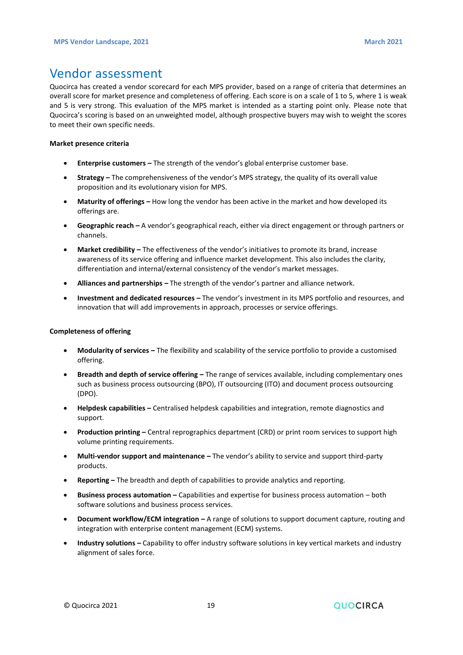## <span id="page-18-0"></span>Vendor assessment

Quocirca has created a vendor scorecard for each MPS provider, based on a range of criteria that determines an overall score for market presence and completeness of offering. Each score is on a scale of 1 to 5, where 1 is weak and 5 is very strong. This evaluation of the MPS market is intended as a starting point only. Please note that Quocirca's scoring is based on an unweighted model, although prospective buyers may wish to weight the scores to meet their own specific needs.

## **Market presence criteria**

- **Enterprise customers –** The strength of the vendor's global enterprise customer base.
- **Strategy –** The comprehensiveness of the vendor's MPS strategy, the quality of its overall value proposition and its evolutionary vision for MPS.
- **Maturity of offerings –** How long the vendor has been active in the market and how developed its offerings are.
- **Geographic reach –** A vendor's geographical reach, either via direct engagement or through partners or channels.
- **Market credibility –** The effectiveness of the vendor's initiatives to promote its brand, increase awareness of its service offering and influence market development. This also includes the clarity, differentiation and internal/external consistency of the vendor's market messages.
- **Alliances and partnerships –** The strength of the vendor's partner and alliance network.
- **Investment and dedicated resources –** The vendor's investment in its MPS portfolio and resources, and innovation that will add improvements in approach, processes or service offerings.

## **Completeness of offering**

- **Modularity of services –** The flexibility and scalability of the service portfolio to provide a customised offering.
- **Breadth and depth of service offering –** The range of services available, including complementary ones such as business process outsourcing (BPO), IT outsourcing (ITO) and document process outsourcing (DPO).
- **Helpdesk capabilities –** Centralised helpdesk capabilities and integration, remote diagnostics and support.
- **Production printing –** Central reprographics department (CRD) or print room services to support high volume printing requirements.
- **Multi-vendor support and maintenance –** The vendor's ability to service and support third-party products.
- **Reporting –** The breadth and depth of capabilities to provide analytics and reporting.
- **Business process automation –** Capabilities and expertise for business process automation both software solutions and business process services.
- **Document workflow/ECM integration –** A range of solutions to support document capture, routing and integration with enterprise content management (ECM) systems.
- **Industry solutions –** Capability to offer industry software solutions in key vertical markets and industry alignment of sales force.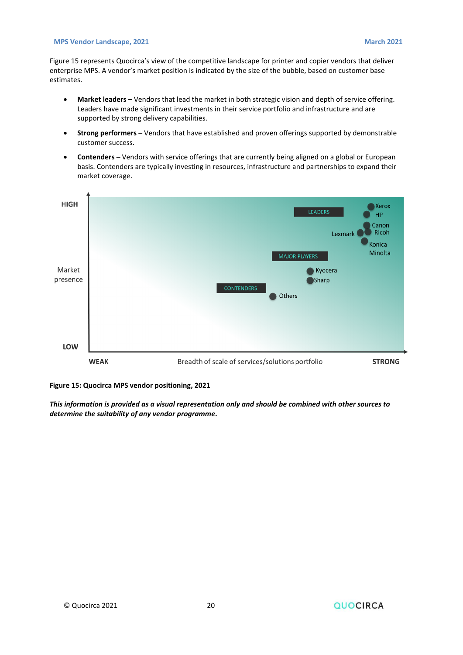Figure 15 represents Quocirca's view of the competitive landscape for printer and copier vendors that deliver enterprise MPS. A vendor's market position is indicated by the size of the bubble, based on customer base estimates.

- **Market leaders –** Vendors that lead the market in both strategic vision and depth of service offering. Leaders have made significant investments in their service portfolio and infrastructure and are supported by strong delivery capabilities.
- **Strong performers –** Vendors that have established and proven offerings supported by demonstrable customer success.
- **Contenders –** Vendors with service offerings that are currently being aligned on a global or European basis. Contenders are typically investing in resources, infrastructure and partnerships to expand their market coverage.



**Figure 15: Quocirca MPS vendor positioning, 2021**

*This information is provided as a visual representation only and should be combined with other sources to determine the suitability of any vendor programme***.**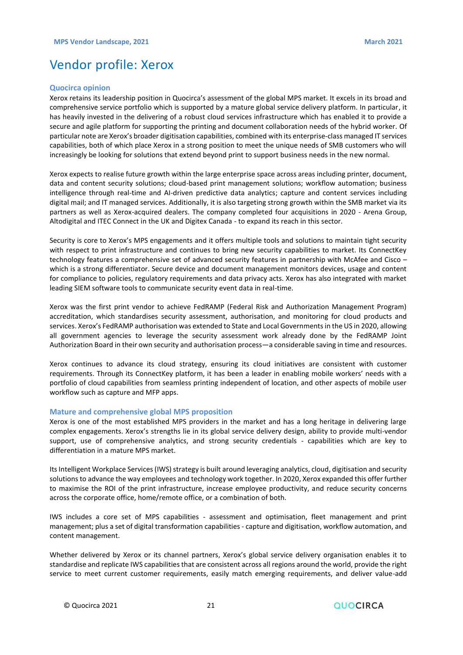## <span id="page-20-0"></span>Vendor profile: Xerox

## **Quocirca opinion**

Xerox retains its leadership position in Quocirca's assessment of the global MPS market. It excels in its broad and comprehensive service portfolio which is supported by a mature global service delivery platform. In particular, it has heavily invested in the delivering of a robust cloud services infrastructure which has enabled it to provide a secure and agile platform for supporting the printing and document collaboration needs of the hybrid worker. Of particular note are Xerox's broader digitisation capabilities, combined with its enterprise-class managed IT services capabilities, both of which place Xerox in a strong position to meet the unique needs of SMB customers who will increasingly be looking for solutions that extend beyond print to support business needs in the new normal.

Xerox expects to realise future growth within the large enterprise space across areas including printer, document, data and content security solutions; cloud-based print management solutions; workflow automation; business intelligence through real-time and AI-driven predictive data analytics; capture and content services including digital mail; and IT managed services. Additionally, it is also targeting strong growth within the SMB market via its partners as well as Xerox-acquired dealers. The company completed four acquisitions in 2020 - Arena Group, Altodigital and ITEC Connect in the UK and Digitex Canada - to expand its reach in this sector.

Security is core to Xerox's MPS engagements and it offers multiple tools and solutions to maintain tight security with respect to print infrastructure and continues to bring new security capabilities to market. Its ConnectKey technology features a comprehensive set of advanced security features in partnership with McAfee and Cisco – which is a strong differentiator. Secure device and document management monitors devices, usage and content for compliance to policies, regulatory requirements and data privacy acts. Xerox has also integrated with market leading SIEM software tools to communicate security event data in real-time.

Xerox was the first print vendor to achieve FedRAMP (Federal Risk and Authorization Management Program) accreditation, which standardises security assessment, authorisation, and monitoring for cloud products and services. Xerox's FedRAMP authorisation was extended to State and Local Governments in the US in 2020, allowing all government agencies to leverage the security assessment work already done by the FedRAMP Joint Authorization Board in their own security and authorisation process—a considerable saving in time and resources.

Xerox continues to advance its cloud strategy, ensuring its cloud initiatives are consistent with customer requirements. Through its ConnectKey platform, it has been a leader in enabling mobile workers' needs with a portfolio of cloud capabilities from seamless printing independent of location, and other aspects of mobile user workflow such as capture and MFP apps.

### **Mature and comprehensive global MPS proposition**

Xerox is one of the most established MPS providers in the market and has a long heritage in delivering large complex engagements. Xerox's strengths lie in its global service delivery design, ability to provide multi-vendor support, use of comprehensive analytics, and strong security credentials - capabilities which are key to differentiation in a mature MPS market.

Its Intelligent Workplace Services (IWS) strategy is built around leveraging analytics, cloud, digitisation and security solutions to advance the way employees and technology work together. In 2020, Xerox expanded this offer further to maximise the ROI of the print infrastructure, increase employee productivity, and reduce security concerns across the corporate office, home/remote office, or a combination of both.

IWS includes a core set of MPS capabilities - assessment and optimisation, fleet management and print management; plus a set of digital transformation capabilities - capture and digitisation, workflow automation, and content management.

Whether delivered by Xerox or its channel partners, Xerox's global service delivery organisation enables it to standardise and replicate IWS capabilities that are consistent across all regions around the world, provide the right service to meet current customer requirements, easily match emerging requirements, and deliver value-add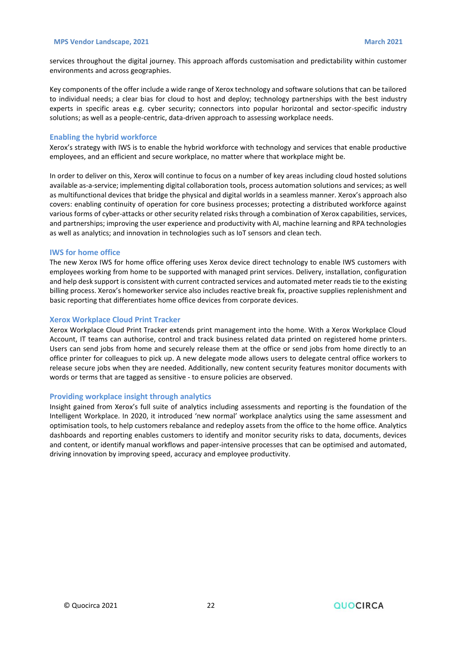services throughout the digital journey. This approach affords customisation and predictability within customer environments and across geographies.

Key components of the offer include a wide range of Xerox technology and software solutions that can be tailored to individual needs; a clear bias for cloud to host and deploy; technology partnerships with the best industry experts in specific areas e.g. cyber security; connectors into popular horizontal and sector-specific industry solutions; as well as a people-centric, data-driven approach to assessing workplace needs.

### **Enabling the hybrid workforce**

Xerox's strategy with IWS is to enable the hybrid workforce with technology and services that enable productive employees, and an efficient and secure workplace, no matter where that workplace might be.

In order to deliver on this, Xerox will continue to focus on a number of key areas including cloud hosted solutions available as-a-service; implementing digital collaboration tools, process automation solutions and services; as well as multifunctional devices that bridge the physical and digital worlds in a seamless manner. Xerox's approach also covers: enabling continuity of operation for core business processes; protecting a distributed workforce against various forms of cyber-attacks or other security related risks through a combination of Xerox capabilities, services, and partnerships; improving the user experience and productivity with AI, machine learning and RPA technologies as well as analytics; and innovation in technologies such as IoT sensors and clean tech.

## **IWS for home office**

The new Xerox IWS for home office offering uses Xerox device direct technology to enable IWS customers with employees working from home to be supported with managed print services. Delivery, installation, configuration and help desk support is consistent with current contracted services and automated meter reads tie to the existing billing process. Xerox's homeworker service also includes reactive break fix, proactive supplies replenishment and basic reporting that differentiates home office devices from corporate devices.

### **Xerox Workplace Cloud Print Tracker**

Xerox Workplace Cloud Print Tracker extends print management into the home. With a Xerox Workplace Cloud Account, IT teams can authorise, control and track business related data printed on registered home printers. Users can send jobs from home and securely release them at the office or send jobs from home directly to an office printer for colleagues to pick up. A new delegate mode allows users to delegate central office workers to release secure jobs when they are needed. Additionally, new content security features monitor documents with words or terms that are tagged as sensitive - to ensure policies are observed.

### **Providing workplace insight through analytics**

Insight gained from Xerox's full suite of analytics including assessments and reporting is the foundation of the Intelligent Workplace. In 2020, it introduced 'new normal' workplace analytics using the same assessment and optimisation tools, to help customers rebalance and redeploy assets from the office to the home office. Analytics dashboards and reporting enables customers to identify and monitor security risks to data, documents, devices and content, or identify manual workflows and paper-intensive processes that can be optimised and automated, driving innovation by improving speed, accuracy and employee productivity.